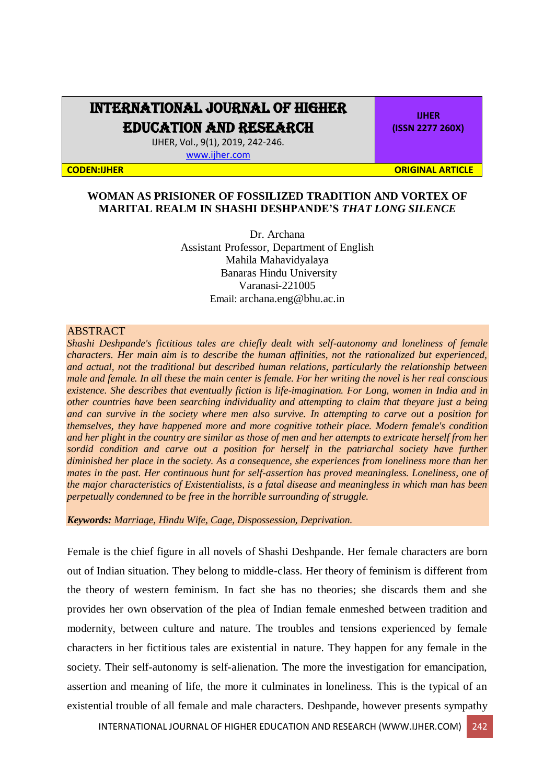## INTERNATIONAL JOURNAL OF HIGHER

EDUCATION AND RESEARCH

IJHER, Vol., 9(1), 2019, 242-246. [www.ijher.com](http://www.ijher.com/)

**IJHER (ISSN 2277 260X)**

**CODEN:IJHER ORIGINAL ARTICLE** 

## **WOMAN AS PRISIONER OF FOSSILIZED TRADITION AND VORTEX OF MARITAL REALM IN SHASHI DESHPANDE'S** *THAT LONG SILENCE*

Dr. Archana Assistant Professor, Department of English Mahila Mahavidyalaya Banaras Hindu University Varanasi-221005 Email: [archana.eng@bhu.ac.in](mailto:archana.eng@bhu.ac.in)

## ABSTRACT

*Shashi Deshpande's fictitious tales are chiefly dealt with self-autonomy and loneliness of female characters. Her main aim is to describe the human affinities, not the rationalized but experienced, and actual, not the traditional but described human relations, particularly the relationship between male and female. In all these the main center is female. For her writing the novel is her real conscious existence. She describes that eventually fiction is life-imagination. For Long, women in India and in other countries have been searching individuality and attempting to claim that theyare just a being and can survive in the society where men also survive. In attempting to carve out a position for themselves, they have happened more and more cognitive totheir place. Modern female's condition and her plight in the country are similar as those of men and her attempts to extricate herself from her*  sordid condition and carve out a position for herself in the patriarchal society have further *diminished her place in the society. As a consequence, she experiences from loneliness more than her mates in the past. Her continuous hunt for self-assertion has proved meaningless. Loneliness, one of the major characteristics of Existentialists, is a fatal disease and meaningless in which man has been perpetually condemned to be free in the horrible surrounding of struggle.*

*Keywords: Marriage, Hindu Wife, Cage, Dispossession, Deprivation.* 

Female is the chief figure in all novels of Shashi Deshpande. Her female characters are born out of Indian situation. They belong to middle-class. Her theory of feminism is different from the theory of western feminism. In fact she has no theories; she discards them and she provides her own observation of the plea of Indian female enmeshed between tradition and modernity, between culture and nature. The troubles and tensions experienced by female characters in her fictitious tales are existential in nature. They happen for any female in the society. Their self-autonomy is self-alienation. The more the investigation for emancipation, assertion and meaning of life, the more it culminates in loneliness. This is the typical of an existential trouble of all female and male characters. Deshpande, however presents sympathy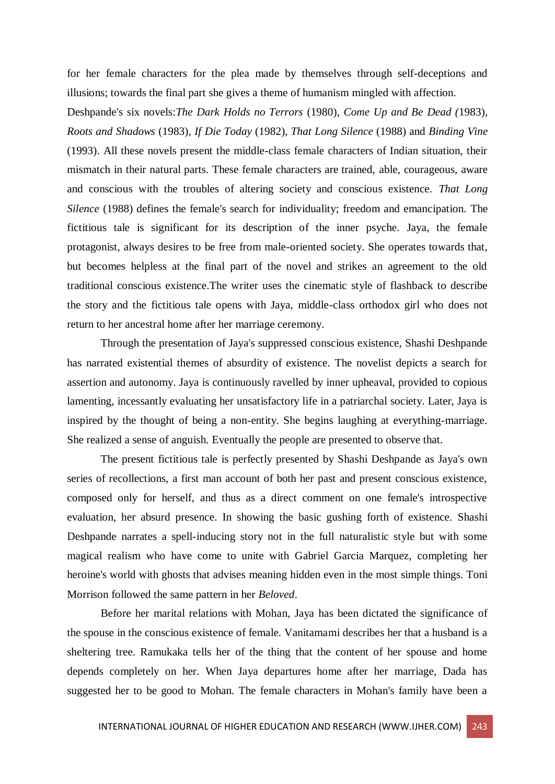for her female characters for the plea made by themselves through self-deceptions and illusions; towards the final part she gives a theme of humanism mingled with affection.

Deshpande's six novels:*The Dark Holds no Terrors* (1980), *Come Up and Be Dead (*1983), *Roots and Shadows* (1983), *If Die Today* (1982), *That Long Silence* (1988) and *Binding Vine* (1993). All these novels present the middle-class female characters of Indian situation, their mismatch in their natural parts. These female characters are trained, able, courageous, aware and conscious with the troubles of altering society and conscious existence. *That Long Silence* (1988) defines the female's search for individuality; freedom and emancipation. The fictitious tale is significant for its description of the inner psyche. Jaya, the female protagonist, always desires to be free from male-oriented society. She operates towards that, but becomes helpless at the final part of the novel and strikes an agreement to the old traditional conscious existence.The writer uses the cinematic style of flashback to describe the story and the fictitious tale opens with Jaya, middle-class orthodox girl who does not return to her ancestral home after her marriage ceremony.

Through the presentation of Jaya's suppressed conscious existence, Shashi Deshpande has narrated existential themes of absurdity of existence. The novelist depicts a search for assertion and autonomy. Jaya is continuously ravelled by inner upheaval, provided to copious lamenting, incessantly evaluating her unsatisfactory life in a patriarchal society. Later, Jaya is inspired by the thought of being a non-entity. She begins laughing at everything-marriage. She realized a sense of anguish. Eventually the people are presented to observe that.

The present fictitious tale is perfectly presented by Shashi Deshpande as Jaya's own series of recollections, a first man account of both her past and present conscious existence, composed only for herself, and thus as a direct comment on one female's introspective evaluation, her absurd presence. In showing the basic gushing forth of existence. Shashi Deshpande narrates a spell-inducing story not in the full naturalistic style but with some magical realism who have come to unite with Gabriel Garcia Marquez, completing her heroine's world with ghosts that advises meaning hidden even in the most simple things. Toni Morrison followed the same pattern in her *Beloved*.

Before her marital relations with Mohan, Jaya has been dictated the significance of the spouse in the conscious existence of female. Vanitamami describes her that a husband is a sheltering tree. Ramukaka tells her of the thing that the content of her spouse and home depends completely on her. When Jaya departures home after her marriage, Dada has suggested her to be good to Mohan. The female characters in Mohan's family have been a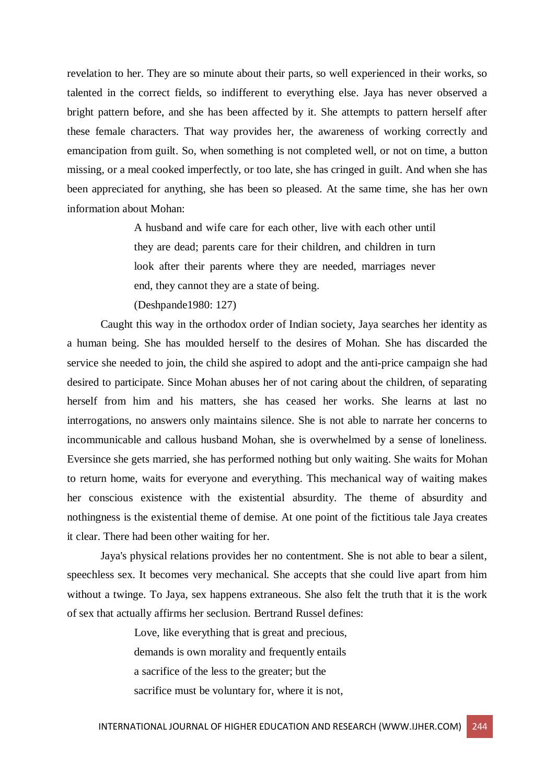revelation to her. They are so minute about their parts, so well experienced in their works, so talented in the correct fields, so indifferent to everything else. Jaya has never observed a bright pattern before, and she has been affected by it. She attempts to pattern herself after these female characters. That way provides her, the awareness of working correctly and emancipation from guilt. So, when something is not completed well, or not on time, a button missing, or a meal cooked imperfectly, or too late, she has cringed in guilt. And when she has been appreciated for anything, she has been so pleased. At the same time, she has her own information about Mohan:

> A husband and wife care for each other, live with each other until they are dead; parents care for their children, and children in turn look after their parents where they are needed, marriages never end, they cannot they are a state of being.

(Deshpande1980: 127)

Caught this way in the orthodox order of Indian society, Jaya searches her identity as a human being. She has moulded herself to the desires of Mohan. She has discarded the service she needed to join, the child she aspired to adopt and the anti-price campaign she had desired to participate. Since Mohan abuses her of not caring about the children, of separating herself from him and his matters, she has ceased her works. She learns at last no interrogations, no answers only maintains silence. She is not able to narrate her concerns to incommunicable and callous husband Mohan, she is overwhelmed by a sense of loneliness. Eversince she gets married, she has performed nothing but only waiting. She waits for Mohan to return home, waits for everyone and everything. This mechanical way of waiting makes her conscious existence with the existential absurdity. The theme of absurdity and nothingness is the existential theme of demise. At one point of the fictitious tale Jaya creates it clear. There had been other waiting for her.

Jaya's physical relations provides her no contentment. She is not able to bear a silent, speechless sex. It becomes very mechanical. She accepts that she could live apart from him without a twinge. To Jaya, sex happens extraneous. She also felt the truth that it is the work of sex that actually affirms her seclusion. Bertrand Russel defines:

> Love, like everything that is great and precious, demands is own morality and frequently entails a sacrifice of the less to the greater; but the sacrifice must be voluntary for, where it is not,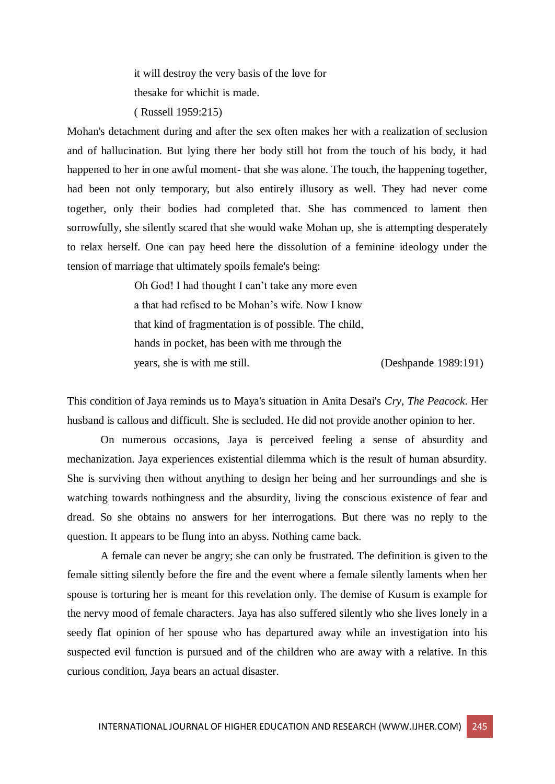it will destroy the very basis of the love for thesake for whichit is made.

( Russell 1959:215)

Mohan's detachment during and after the sex often makes her with a realization of seclusion and of hallucination. But lying there her body still hot from the touch of his body, it had happened to her in one awful moment- that she was alone. The touch, the happening together, had been not only temporary, but also entirely illusory as well. They had never come together, only their bodies had completed that. She has commenced to lament then sorrowfully, she silently scared that she would wake Mohan up, she is attempting desperately to relax herself. One can pay heed here the dissolution of a feminine ideology under the tension of marriage that ultimately spoils female's being:

> Oh God! I had thought I can't take any more even a that had refised to be Mohan's wife. Now I know that kind of fragmentation is of possible. The child, hands in pocket, has been with me through the years, she is with me still. (Deshpande 1989:191)

This condition of Jaya reminds us to Maya's situation in Anita Desai's *Cry, The Peacock*. Her husband is callous and difficult. She is secluded. He did not provide another opinion to her.

On numerous occasions, Jaya is perceived feeling a sense of absurdity and mechanization. Jaya experiences existential dilemma which is the result of human absurdity. She is surviving then without anything to design her being and her surroundings and she is watching towards nothingness and the absurdity, living the conscious existence of fear and dread. So she obtains no answers for her interrogations. But there was no reply to the question. It appears to be flung into an abyss. Nothing came back.

A female can never be angry; she can only be frustrated. The definition is given to the female sitting silently before the fire and the event where a female silently laments when her spouse is torturing her is meant for this revelation only. The demise of Kusum is example for the nervy mood of female characters. Jaya has also suffered silently who she lives lonely in a seedy flat opinion of her spouse who has departured away while an investigation into his suspected evil function is pursued and of the children who are away with a relative. In this curious condition, Jaya bears an actual disaster.